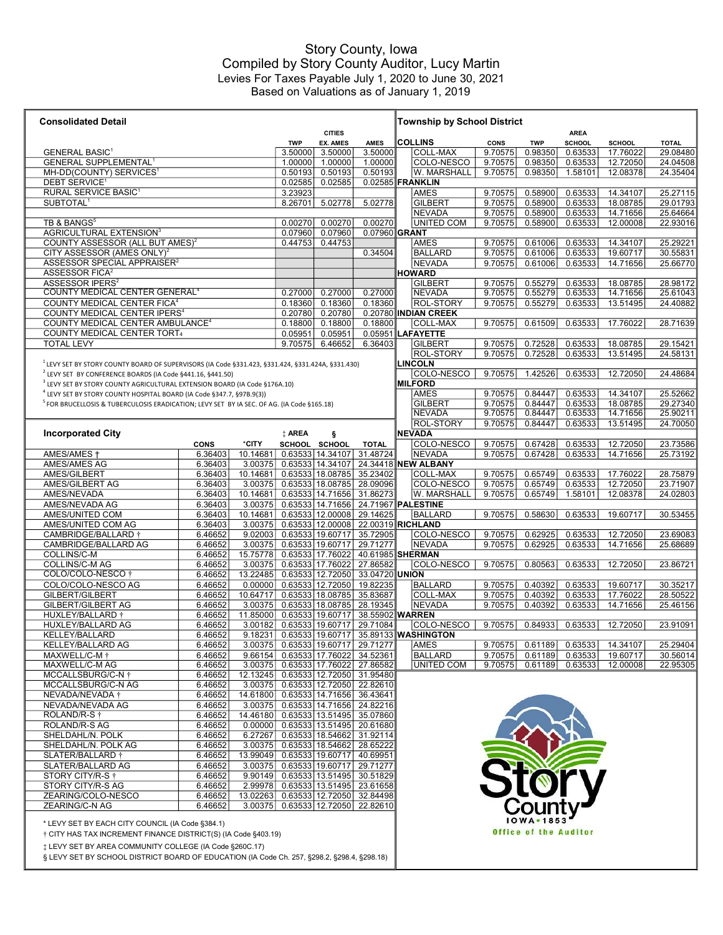## Based on Valuations as of January 1, 2019 Story County, Iowa Compiled by Story County Auditor, Lucy Martin Levies For Taxes Payable July 1, 2020 to June 30, 2021

| <b>Consolidated Detail</b>                                                                            |                        |                    |                    |                                      |                                                                         | <b>Township by School District</b>   |                    |                              |                    |                      |                      |
|-------------------------------------------------------------------------------------------------------|------------------------|--------------------|--------------------|--------------------------------------|-------------------------------------------------------------------------|--------------------------------------|--------------------|------------------------------|--------------------|----------------------|----------------------|
|                                                                                                       |                        |                    |                    | <b>CITIES</b>                        |                                                                         |                                      |                    |                              | <b>AREA</b>        |                      |                      |
|                                                                                                       |                        |                    | <b>TWP</b>         | <b>EX. AMES</b>                      | <b>AMES</b>                                                             | <b>COLLINS</b>                       | CONS               | <b>TWP</b>                   | <b>SCHOOL</b>      | SCHOOL               | <b>TOTAL</b>         |
| <b>GENERAL BASIC<sup>1</sup></b><br><b>GENERAL SUPPLEMENTAL<sup>1</sup></b>                           |                        |                    | 3.50000<br>1.00000 | 3.50000<br>1.00000                   | 3.50000<br>1.00000                                                      | COLL-MAX<br>COLO-NESCO               | 9.70575<br>9.70575 | 0.98350<br>0.98350           | 0.63533<br>0.63533 | 17.76022<br>12.72050 | 29.08480<br>24.04508 |
| MH-DD(COUNTY) SERVICES <sup>1</sup>                                                                   |                        |                    | 0.50193            | 0.50193                              | 0.50193                                                                 | W. MARSHALL                          | 9.70575            | 0.98350                      | 1.58101            | 12.08378             | 24.35404             |
| <b>DEBT SERVICE<sup>1</sup></b>                                                                       |                        |                    | 0.02585            | 0.02585                              |                                                                         | 0.02585 FRANKLIN                     |                    |                              |                    |                      |                      |
| RURAL SERVICE BASIC <sup>1</sup>                                                                      |                        |                    | 3.23923            |                                      |                                                                         | AMES                                 | 9.70575            | 0.58900                      | 0.63533            | 14.34107             | 25.27115             |
| SUBTOTAL <sup>1</sup>                                                                                 |                        |                    | 8.26701            | 5.02778                              | 5.02778                                                                 | <b>GILBERT</b>                       | 9.70575            | 0.58900                      | 0.63533            | 18.08785             | 29.01793             |
|                                                                                                       |                        |                    |                    |                                      |                                                                         | <b>NEVADA</b>                        | 9.70575            | 0.58900                      | 0.63533            | 14.71656             | 25.64664             |
| TB & BANGS <sup>5</sup>                                                                               |                        |                    | 0.00270            | 0.00270                              | 0.00270                                                                 | <b>UNITED COM</b>                    | 9.70575            | 0.58900                      | 0.63533            | 12.00008             | 22.93016             |
| AGRICULTURAL EXTENSION <sup>3</sup>                                                                   |                        |                    | 0.07960            | 0.07960                              | 0.07960 GRANT                                                           |                                      |                    |                              |                    |                      |                      |
| COUNTY ASSESSOR (ALL BUT AMES) <sup>2</sup><br>CITY ASSESSOR (AMES ONLY) <sup>2</sup>                 |                        |                    | 0.44753            | 0.44753                              |                                                                         | AMES                                 | 9.70575            | 0.61006                      | 0.63533            | 14.34107             | 25.29221             |
| ASSESSOR SPECIAL APPRAISER <sup>2</sup>                                                               |                        |                    |                    |                                      | 0.34504                                                                 | <b>BALLARD</b><br><b>NEVADA</b>      | 9.70575<br>9.70575 | 0.61006<br>0.61006           | 0.63533<br>0.63533 | 19.60717<br>14.71656 | 30.55831<br>25.66770 |
| ASSESSOR FICA <sup>2</sup>                                                                            |                        |                    |                    |                                      |                                                                         | <b>HOWARD</b>                        |                    |                              |                    |                      |                      |
| ASSESSOR IPERS <sup>2</sup>                                                                           |                        |                    |                    |                                      |                                                                         | <b>GILBERT</b>                       | 9.70575            | 0.55279                      | 0.63533            | 18.08785             | 28.98172             |
| COUNTY MEDICAL CENTER GENERAL <sup>4</sup>                                                            |                        |                    | 0.27000            | 0.27000                              | 0.27000                                                                 | <b>NEVADA</b>                        | 9.70575            | 0.55279                      | 0.63533            | 14.71656             | 25.61043             |
| COUNTY MEDICAL CENTER FICA <sup>4</sup>                                                               |                        |                    | 0.18360            | 0.18360                              | 0.18360                                                                 | ROL-STORY                            | 9.70575            | 0.55279                      | 0.63533            | 13.51495             | 24.40882             |
| COUNTY MEDICAL CENTER IPERS <sup>4</sup>                                                              |                        |                    | 0.20780            | 0.20780                              |                                                                         | 0.20780 INDIAN CREEK                 |                    |                              |                    |                      |                      |
| COUNTY MEDICAL CENTER AMBULANCE <sup>4</sup>                                                          |                        |                    | 0.18800            | 0.18800                              | 0.18800                                                                 | COLL-MAX                             | 9.70575            | 0.61509                      | 0.63533            | 17.76022             | 28.71639             |
| <b>COUNTY MEDICAL CENTER TORT4</b>                                                                    |                        |                    | 0.05951            | 0.05951                              |                                                                         | 0.05951 LAFAYETTE                    |                    |                              |                    |                      |                      |
| <b>TOTAL LEVY</b>                                                                                     |                        |                    | 9.70575            | 6.46652                              | 6.36403                                                                 | <b>GILBERT</b><br>ROL-STORY          | 9.70575<br>9.70575 | 0.72528<br>0.72528           | 0.63533<br>0.63533 | 18.08785<br>13.51495 | 29.15421<br>24.58131 |
| $1$ LEVY SET BY STORY COUNTY BOARD OF SUPERVISORS (IA Code §331.423, §331.424, §331.424A, §331.430)   |                        |                    |                    |                                      |                                                                         | <b>LINCOLN</b>                       |                    |                              |                    |                      |                      |
| <sup>2</sup> LEVY SET BY CONFERENCE BOARDS (IA Code §441.16, §441.50)                                 |                        |                    |                    |                                      |                                                                         | COLO-NESCO                           | 9.70575            | 1.42526                      | 0.63533            | 12.72050             | 24.48684             |
| <sup>3</sup> LEVY SET BY STORY COUNTY AGRICULTURAL EXTENSION BOARD (IA Code §176A.10)                 |                        |                    |                    |                                      |                                                                         | <b>MILFORD</b>                       |                    |                              |                    |                      |                      |
| <sup>4</sup> LEVY SET BY STORY COUNTY HOSPITAL BOARD (IA Code §347.7, §97B.9(3))                      |                        |                    |                    |                                      |                                                                         | AMES                                 | 9.70575            | 0.84447                      | 0.63533            | 14.34107             | 25.52662             |
| <sup>5</sup> FOR BRUCELLOSIS & TUBERCULOSIS ERADICATION; LEVY SET BY IA SEC. OF AG. (IA Code §165.18) |                        |                    |                    |                                      |                                                                         | <b>GILBERT</b>                       | 9.70575            | 0.84447                      | 0.63533            | 18.08785             | 29.27340             |
|                                                                                                       |                        |                    |                    |                                      |                                                                         | <b>NEVADA</b>                        | 9.70575            | 0.84447                      | 0.63533            | 14.71656             | 25.90211             |
|                                                                                                       |                        |                    |                    |                                      |                                                                         | ROL-STORY                            | 9.70575            | 0.84447                      | 0.63533            | 13.51495             | 24.70050             |
| <b>Incorporated City</b>                                                                              |                        |                    | ‡ AREA             | ş                                    |                                                                         | <b>NEVADA</b>                        |                    |                              |                    |                      |                      |
| AMES/AMES +                                                                                           | <b>CONS</b><br>6.36403 | *CITY<br>10.14681  |                    | SCHOOL SCHOOL<br>0.63533 14.34107    | <b>TOTAL</b><br>31.48724                                                | COLO-NESCO<br>NEVADA                 | 9.70575<br>9.70575 | 0.67428<br>0.67428           | 0.63533<br>0.63533 | 12.72050<br>14.71656 | 23.73586             |
| AMES/AMES AG                                                                                          | 6.36403                | 3.00375            |                    |                                      |                                                                         | 0.63533 14.34107 24.34418 NEW ALBANY |                    |                              |                    |                      | 25.73192             |
| AMES/GILBERT                                                                                          | 6.36403                | 10.14681           |                    |                                      | 0.63533 18.08785 35.23402                                               | <b>COLL-MAX</b>                      | 9.70575            | 0.65749                      | 0.63533            | 17.76022             | 28.75879             |
| AMES/GILBERT AG                                                                                       | 6.36403                | 3.00375            |                    |                                      | 0.63533   18.08785   28.09096                                           | COLO-NESCO                           | 9.70575            | 0.65749                      | 0.63533            | 12.72050             | 23.71907             |
| AMES/NEVADA                                                                                           | 6.36403                | 10.14681           |                    |                                      | 0.63533 14.71656 31.86273                                               | W. MARSHALL                          | 9.70575            | 0.65749                      | 1.58101            | 12.08378             | 24.02803             |
| AMES/NEVADA AG                                                                                        | 6.36403                | 3.00375            |                    |                                      | 0.63533 14.71656 24.71967 PALESTINE                                     |                                      |                    |                              |                    |                      |                      |
| AMES/UNITED COM                                                                                       | 6.36403                | 10.14681           |                    |                                      | 0.63533 12.00008 29.14625                                               | <b>BALLARD</b>                       | 9.70575            | 0.58630                      | 0.63533            | 19.60717             | 30.53455             |
| AMES/UNITED COM AG                                                                                    | 6.36403                | 3.00375            |                    |                                      | 0.63533 12.00008 22.00319 RICHLAND                                      |                                      |                    |                              |                    |                      |                      |
| CAMBRIDGE/BALLARD +<br>CAMBRIDGE/BALLARD AG                                                           | 6.46652<br>6.46652     | 9.02003<br>3.00375 |                    | 0.63533   19.60717                   | 35.72905<br>0.63533 19.60717 29.71277                                   | COLO-NESCO<br><b>NEVADA</b>          | 9.70575<br>9.70575 | 0.62925<br>0.62925           | 0.63533<br>0.63533 | 12.72050<br>14.71656 | 23.69083<br>25.68689 |
| COLLINS/C-M                                                                                           | 6.46652                | 15.75778           |                    | 0.63533 17.76022                     | 40.61985 SHERMAN                                                        |                                      |                    |                              |                    |                      |                      |
| COLLINS/C-M AG                                                                                        | 6.46652                | 3.00375            |                    | 0.63533 17.76022                     | 27.86582                                                                | COLO-NESCO                           | 9.70575            | 0.80563                      | 0.63533            | 12.72050             | 23.86721             |
| COLO/COLO-NESCO †                                                                                     | 6.46652                |                    |                    |                                      | 13.22485 0.63533 12.72050 33.04720 UNION                                |                                      |                    |                              |                    |                      |                      |
| COLO/COLO-NESCO AG                                                                                    | 6.46652                | 0.00000            |                    | 0.63533   12.72050                   | 19.82235                                                                | <b>BALLARD</b>                       | 9.70575            | 0.40392                      | 0.63533            | 19.60717             | 30.35217             |
| GILBERT/GILBERT                                                                                       | 6.46652                | 10.64717           |                    | 0.63533 18.08785                     | 35.83687                                                                | <b>COLL-MAX</b>                      | 9.70575            | 0.40392                      | 0.63533            | 17.76022             | 28.50522             |
| <b>GILBERT/GILBERT AG</b>                                                                             | 6.46652                | 3.00375            |                    | 0.63533 18.08785                     | 28.19345                                                                | <b>NEVADA</b>                        | 9.70575            | 0.40392                      | 0.63533            | 14.71656             | 25.46156             |
| HUXLEY/BALLARD +                                                                                      | 6.46652                | 11.85000           |                    | 0.63533 19.60717<br>0.63533 19.60717 | 38.55902 WARREN<br>29.71084                                             |                                      | 9.70575            | 0.84933                      | 0.63533            | 12.72050             |                      |
| HUXLEY/BALLARD AG<br>KELLEY/BALLARD                                                                   | 6.46652<br>6.46652     | 3.00182<br>9.18231 |                    | 0.63533 19.60717                     |                                                                         | COLO-NESCO<br>35.89133 WASHINGTON    |                    |                              |                    |                      | 23.91091             |
| KELLEY/BALLARD AG                                                                                     | 6.46652                |                    |                    |                                      | 3.00375   0.63533   19.60717   29.71277                                 | AMES                                 | 9.70575            | 0.61189                      | 0.63533            | 14.34107             | 25.29404             |
| MAXWELL/C-M <sup>+</sup>                                                                              | 6.46652                | 9.66154            |                    | 0.63533   17.76022                   | 34.52361                                                                | <b>BALLARD</b>                       | 9.70575            | 0.61189                      | 0.63533            | 19.60717             | 30.56014             |
| MAXWELL/C-M AG                                                                                        | 6.46652                |                    |                    |                                      | 3.00375 0.63533 17.76022 27.86582                                       | <b>UNITED COM</b>                    | 9.70575            | 0.61189                      | 0.63533            | 12.00008             | 22.95305             |
| MCCALLSBURG/C-N +                                                                                     | 6.46652                |                    |                    |                                      | 12.13245 0.63533 12.72050 31.95480                                      |                                      |                    |                              |                    |                      |                      |
| MCCALLSBURG/C-N AG                                                                                    | 6.46652                |                    |                    |                                      | 3.00375 0.63533 12.72050 22.82610                                       |                                      |                    |                              |                    |                      |                      |
| NEVADA/NEVADA †                                                                                       | 6.46652                |                    |                    |                                      | 14.61800 0.63533 14.71656 36.43641                                      |                                      |                    |                              |                    |                      |                      |
| NEVADA/NEVADA AG<br>ROLAND/R-S †                                                                      | 6.46652<br>6.46652     |                    |                    |                                      | 3.00375 0.63533 14.71656 24.82216<br>14.46180 0.63533 13.51495 35.07860 |                                      |                    |                              |                    |                      |                      |
| ROLAND/R-S AG                                                                                         | 6.46652                |                    |                    |                                      | $0.00000$ $0.63533$ 13.51495 20.61680                                   |                                      |                    |                              |                    |                      |                      |
| SHELDAHL/N. POLK                                                                                      | 6.46652                |                    |                    |                                      | 6.27267   0.63533   18.54662   31.92114                                 |                                      |                    |                              |                    |                      |                      |
| SHELDAHL/N. POLK AG                                                                                   | 6.46652                |                    |                    |                                      | 3.00375   0.63533   18.54662   28.65222                                 |                                      |                    |                              |                    |                      |                      |
| SLATER/BALLARD †                                                                                      | 6.46652                |                    |                    |                                      | 13.99049 0.63533 19.60717 40.69951                                      |                                      |                    |                              |                    |                      |                      |
| SLATER/BALLARD AG                                                                                     | 6.46652                |                    |                    |                                      | 3.00375 0.63533 19.60717 29.71277                                       |                                      |                    |                              |                    |                      |                      |
| STORY CITY/R-S $\dagger$                                                                              | 6.46652                |                    |                    |                                      | 9.90149 0.63533 13.51495 30.51829                                       |                                      |                    | tor                          |                    |                      |                      |
| STORY CITY/R-S AG                                                                                     | 6.46652                |                    |                    |                                      | 2.99978 0.63533 13.51495 23.61658                                       |                                      |                    |                              |                    |                      |                      |
| ZEARING/COLO-NESCO                                                                                    | 6.46652                |                    |                    |                                      | 13.02263 0.63533 12.72050 32.84498                                      |                                      |                    |                              |                    |                      |                      |
| ZEARING/C-N AG                                                                                        | 6.46652                |                    |                    |                                      | 3.00375   0.63533   12.72050   22.82610                                 |                                      |                    | County                       |                    |                      |                      |
| * LEVY SET BY EACH CITY COUNCIL (IA Code §384.1)                                                      |                        |                    |                    |                                      |                                                                         |                                      |                    | <b>IOWA</b> - 1853           |                    |                      |                      |
| † CITY HAS TAX INCREMENT FINANCE DISTRICT(S) (IA Code §403.19)                                        |                        |                    |                    |                                      |                                                                         |                                      |                    | <b>Office of the Auditor</b> |                    |                      |                      |
| ‡ LEVY SET BY AREA COMMUNITY COLLEGE (IA Code §260C.17)                                               |                        |                    |                    |                                      |                                                                         |                                      |                    |                              |                    |                      |                      |
| § LEVY SET BY SCHOOL DISTRICT BOARD OF EDUCATION (IA Code Ch. 257, §298.2, §298.4, §298.18)           |                        |                    |                    |                                      |                                                                         |                                      |                    |                              |                    |                      |                      |